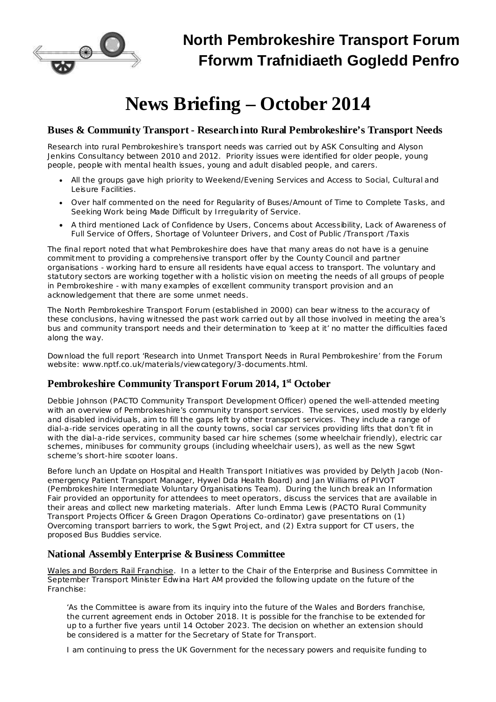

# **News Briefing – October 2014**

## **Buses & Community Transport - Research into Rural Pembrokeshire's Transport Needs**

Research into rural Pembrokeshire's transport needs was carried out by ASK Consulting and Alyson Jenkins Consultancy between 2010 and 2012. Priority issues were identified for older people, young people, people with mental health issues, young and adult disabled people, and carers.

- · All the groups gave high priority to Weekend/Evening Services and Access to Social, Cultural and Leisure Facilities.
- · Over half commented on the need for Regularity of Buses/Amount of Time to Complete Tasks, and Seeking Work being Made Difficult by Irregularity of Service.
- · A third mentioned Lack of Confidence by Users, Concerns about Accessibility, Lack of Awareness of Full Service of Offers, Shortage of Volunteer Drivers, and Cost of Public /Transport /Taxis

The final report noted that what Pembrokeshire does have that many areas do not have is a genuine commitment to providing a comprehensive transport offer by the County Council and partner organisations - working hard to ensure all residents have equal access to transport. The voluntary and statutory sectors are working together with a holistic vision on meeting the needs of all groups of people in Pembrokeshire - with many examples of excellent community transport provision and an acknowledgement that there are some unmet needs.

The North Pembrokeshire Transport Forum (established in 2000) can bear witness to the accuracy of these conclusions, having witnessed the past work carried out by all those involved in meeting the area's bus and community transport needs and their determination to 'keep at it' no matter the difficulties faced along the way.

Download the full report 'Research into Unmet Transport Needs in Rural Pembrokeshire' from the Forum website: [www.nptf.co.uk/materials/viewcategory/3-documents.html.](http://www.nptf.co.uk/materials/viewcategory/3-documents.html)

## **Pembrokeshire Community Transport Forum 2014, 1 st October**

Debbie Johnson (PACTO Community Transport Development Officer) opened the well-attended meeting with an overview of Pembrokeshire's community transport services. The services, used mostly by elderly and disabled individuals, aim to fill the gaps left by other transport services. They include a range of dial-a-ride services operating in all the county towns, social car services providing lifts that don't fit in with the dial-a-ride services, community based car hire schemes (some wheelchair friendly), electric car schemes, minibuses for community groups (including wheelchair users), as well as the new Sgwt scheme's short-hire scooter loans.

Before lunch an *Update on Hospital and Health Transport Initiatives* was provided by Delyth Jacob (Nonemergency Patient Transport Manager, Hywel Dda Health Board) and Jan Williams of PIVOT (Pembrokeshire Intermediate Voluntary Organisations Team). During the lunch break an *Information Fair* provided an opportunity for attendees to meet operators, discuss the services that are available in their areas and collect new marketing materials. After lunch Emma Lewis (PACTO Rural Community Transport Projects Officer & Green Dragon Operations Co-ordinator) gave presentations on (1) *Overcoming transport barriers to work, the Sgwt Project*, and (2) *Extra support for CT users, the proposed Bus Buddies service*.

## **National Assembly Enterprise & Business Committee**

Wales and Borders Rail Franchise. In a letter to the Chair of the Enterprise and Business Committee in September Transport Minister Edwina Hart AM provided the following update on the future of the Franchise:

*'As the Committee is aware from its inquiry into the future of the Wales and Borders franchise, the current agreement ends in October 2018. It is possible for the franchise to be extended for up to a further five years until 14 October 2023. The decision on whether an extension should be considered is a matter for the Secretary of State for Transport.*

*I am continuing to press the UK Government for the necessary powers and requisite funding to*